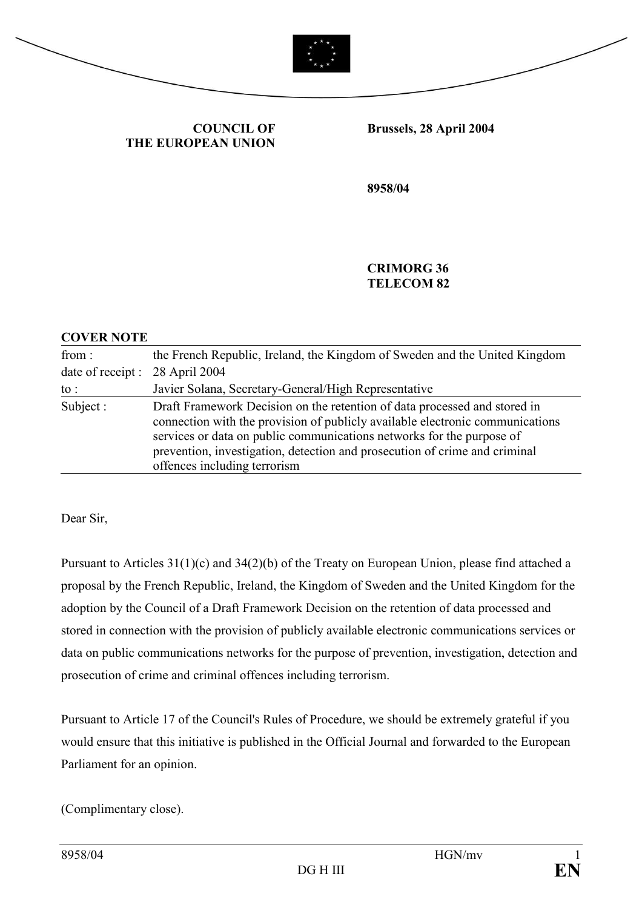



COUNCIL OF THE EUROPEAN UNION Brussels, 28 April 2004

8958/04

CRIMORG 36 TELECOM 82

#### COVER NOTE

| from:             | the French Republic, Ireland, the Kingdom of Sweden and the United Kingdom                                                                                                                                                                                                                                                                        |
|-------------------|---------------------------------------------------------------------------------------------------------------------------------------------------------------------------------------------------------------------------------------------------------------------------------------------------------------------------------------------------|
| date of receipt : | 28 April 2004                                                                                                                                                                                                                                                                                                                                     |
| $\mathrm{to}$ :   | Javier Solana, Secretary-General/High Representative                                                                                                                                                                                                                                                                                              |
| Subject:          | Draft Framework Decision on the retention of data processed and stored in<br>connection with the provision of publicly available electronic communications<br>services or data on public communications networks for the purpose of<br>prevention, investigation, detection and prosecution of crime and criminal<br>offences including terrorism |

Dear Sir,

Pursuant to Articles 31(1)(c) and 34(2)(b) of the Treaty on European Union, please find attached a proposal by the French Republic, Ireland, the Kingdom of Sweden and the United Kingdom for the adoption by the Council of a Draft Framework Decision on the retention of data processed and stored in connection with the provision of publicly available electronic communications services or data on public communications networks for the purpose of prevention, investigation, detection and prosecution of crime and criminal offences including terrorism.

Pursuant to Article 17 of the Council's Rules of Procedure, we should be extremely grateful if you would ensure that this initiative is published in the Official Journal and forwarded to the European Parliament for an opinion.

(Complimentary close).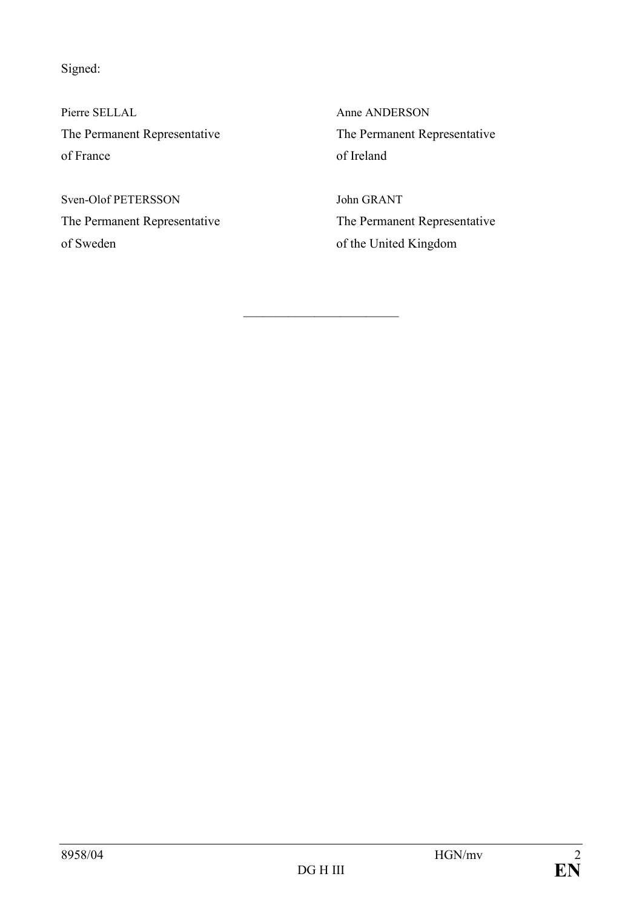Signed:

Pierre SELLAL Anne ANDERSON The Permanent Representative The Permanent Representative of France of Ireland

Sven-Olof PETERSSON John GRANT of Sweden of the United Kingdom

The Permanent Representative The Permanent Representative

\_\_\_\_\_\_\_\_\_\_\_\_\_\_\_\_\_\_\_\_\_\_\_\_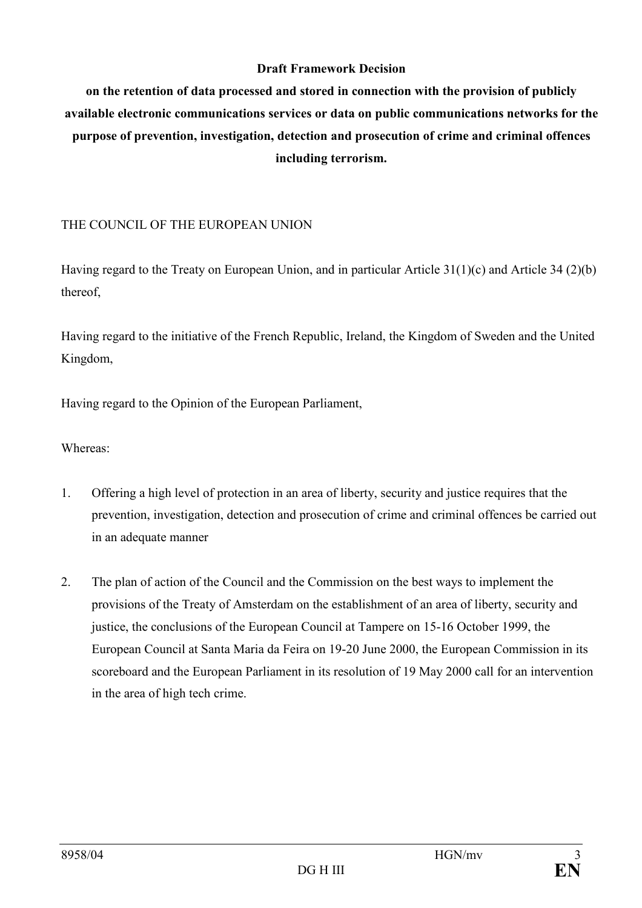### Draft Framework Decision

on the retention of data processed and stored in connection with the provision of publicly available electronic communications services or data on public communications networks for the purpose of prevention, investigation, detection and prosecution of crime and criminal offences including terrorism.

#### THE COUNCIL OF THE EUROPEAN UNION

Having regard to the Treaty on European Union, and in particular Article 31(1)(c) and Article 34 (2)(b) thereof,

Having regard to the initiative of the French Republic, Ireland, the Kingdom of Sweden and the United Kingdom,

Having regard to the Opinion of the European Parliament,

Whereas:

- 1. Offering a high level of protection in an area of liberty, security and justice requires that the prevention, investigation, detection and prosecution of crime and criminal offences be carried out in an adequate manner
- 2. The plan of action of the Council and the Commission on the best ways to implement the provisions of the Treaty of Amsterdam on the establishment of an area of liberty, security and justice, the conclusions of the European Council at Tampere on 15-16 October 1999, the European Council at Santa Maria da Feira on 19-20 June 2000, the European Commission in its scoreboard and the European Parliament in its resolution of 19 May 2000 call for an intervention in the area of high tech crime.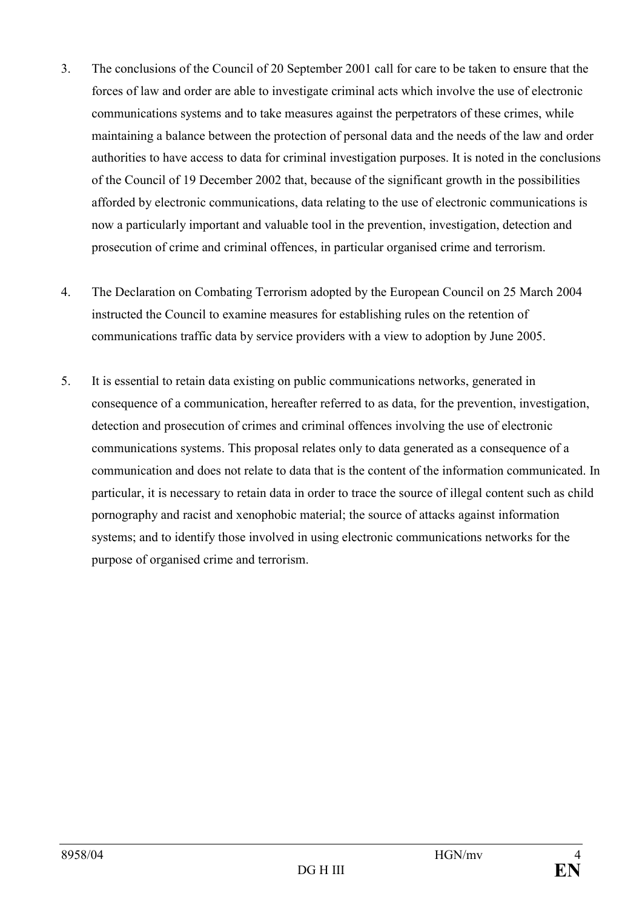- 3. The conclusions of the Council of 20 September 2001 call for care to be taken to ensure that the forces of law and order are able to investigate criminal acts which involve the use of electronic communications systems and to take measures against the perpetrators of these crimes, while maintaining a balance between the protection of personal data and the needs of the law and order authorities to have access to data for criminal investigation purposes. It is noted in the conclusions of the Council of 19 December 2002 that, because of the significant growth in the possibilities afforded by electronic communications, data relating to the use of electronic communications is now a particularly important and valuable tool in the prevention, investigation, detection and prosecution of crime and criminal offences, in particular organised crime and terrorism.
- 4. The Declaration on Combating Terrorism adopted by the European Council on 25 March 2004 instructed the Council to examine measures for establishing rules on the retention of communications traffic data by service providers with a view to adoption by June 2005.
- 5. It is essential to retain data existing on public communications networks, generated in consequence of a communication, hereafter referred to as data, for the prevention, investigation, detection and prosecution of crimes and criminal offences involving the use of electronic communications systems. This proposal relates only to data generated as a consequence of a communication and does not relate to data that is the content of the information communicated. In particular, it is necessary to retain data in order to trace the source of illegal content such as child pornography and racist and xenophobic material; the source of attacks against information systems; and to identify those involved in using electronic communications networks for the purpose of organised crime and terrorism.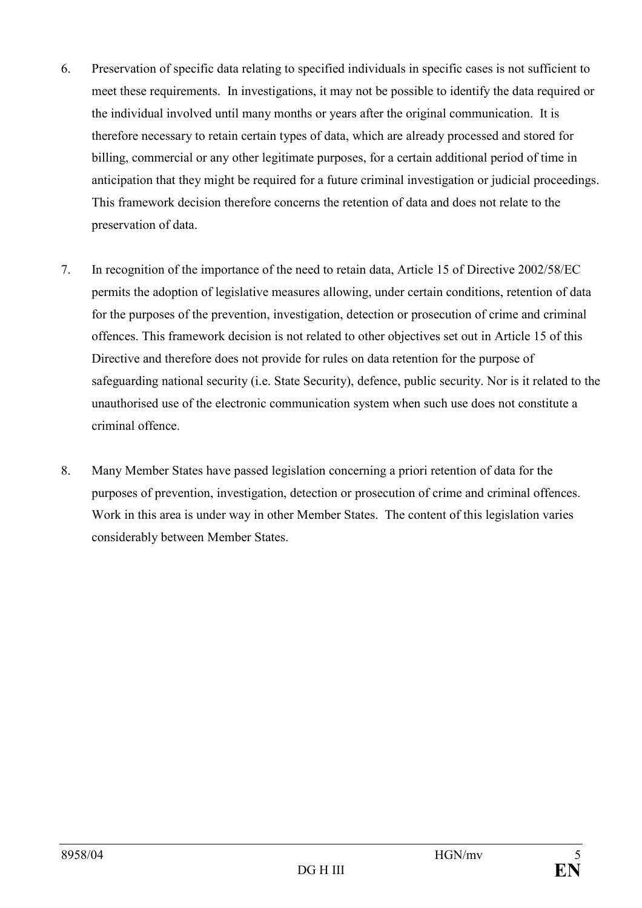- 6. Preservation of specific data relating to specified individuals in specific cases is not sufficient to meet these requirements. In investigations, it may not be possible to identify the data required or the individual involved until many months or years after the original communication. It is therefore necessary to retain certain types of data, which are already processed and stored for billing, commercial or any other legitimate purposes, for a certain additional period of time in anticipation that they might be required for a future criminal investigation or judicial proceedings. This framework decision therefore concerns the retention of data and does not relate to the preservation of data.
- 7. In recognition of the importance of the need to retain data, Article 15 of Directive 2002/58/EC permits the adoption of legislative measures allowing, under certain conditions, retention of data for the purposes of the prevention, investigation, detection or prosecution of crime and criminal offences. This framework decision is not related to other objectives set out in Article 15 of this Directive and therefore does not provide for rules on data retention for the purpose of safeguarding national security (i.e. State Security), defence, public security. Nor is it related to the unauthorised use of the electronic communication system when such use does not constitute a criminal offence.
- 8. Many Member States have passed legislation concerning a priori retention of data for the purposes of prevention, investigation, detection or prosecution of crime and criminal offences. Work in this area is under way in other Member States. The content of this legislation varies considerably between Member States.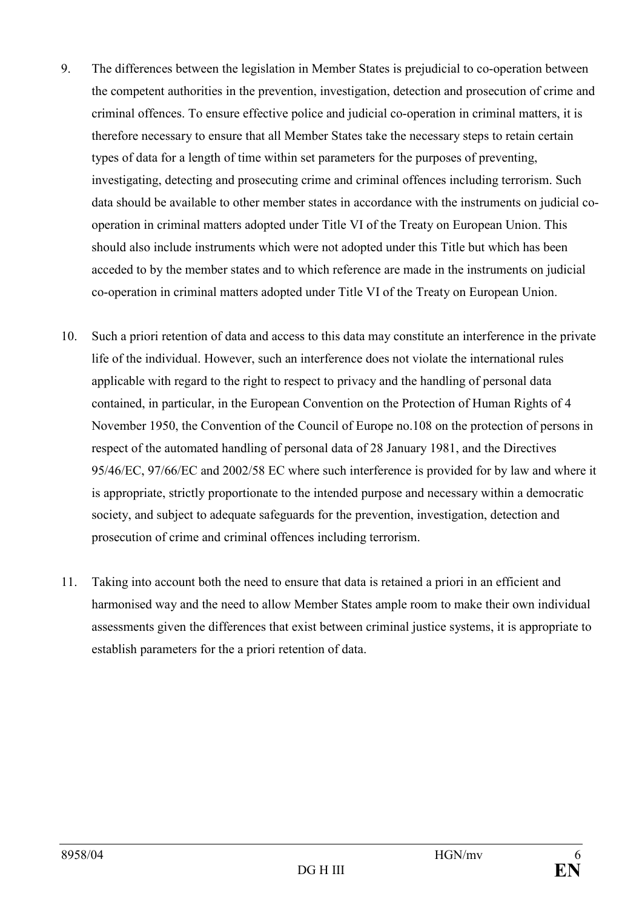- 9. The differences between the legislation in Member States is prejudicial to co-operation between the competent authorities in the prevention, investigation, detection and prosecution of crime and criminal offences. To ensure effective police and judicial co-operation in criminal matters, it is therefore necessary to ensure that all Member States take the necessary steps to retain certain types of data for a length of time within set parameters for the purposes of preventing, investigating, detecting and prosecuting crime and criminal offences including terrorism. Such data should be available to other member states in accordance with the instruments on judicial cooperation in criminal matters adopted under Title VI of the Treaty on European Union. This should also include instruments which were not adopted under this Title but which has been acceded to by the member states and to which reference are made in the instruments on judicial co-operation in criminal matters adopted under Title VI of the Treaty on European Union.
- 10. Such a priori retention of data and access to this data may constitute an interference in the private life of the individual. However, such an interference does not violate the international rules applicable with regard to the right to respect to privacy and the handling of personal data contained, in particular, in the European Convention on the Protection of Human Rights of 4 November 1950, the Convention of the Council of Europe no.108 on the protection of persons in respect of the automated handling of personal data of 28 January 1981, and the Directives 95/46/EC, 97/66/EC and 2002/58 EC where such interference is provided for by law and where it is appropriate, strictly proportionate to the intended purpose and necessary within a democratic society, and subject to adequate safeguards for the prevention, investigation, detection and prosecution of crime and criminal offences including terrorism.
- 11. Taking into account both the need to ensure that data is retained a priori in an efficient and harmonised way and the need to allow Member States ample room to make their own individual assessments given the differences that exist between criminal justice systems, it is appropriate to establish parameters for the a priori retention of data.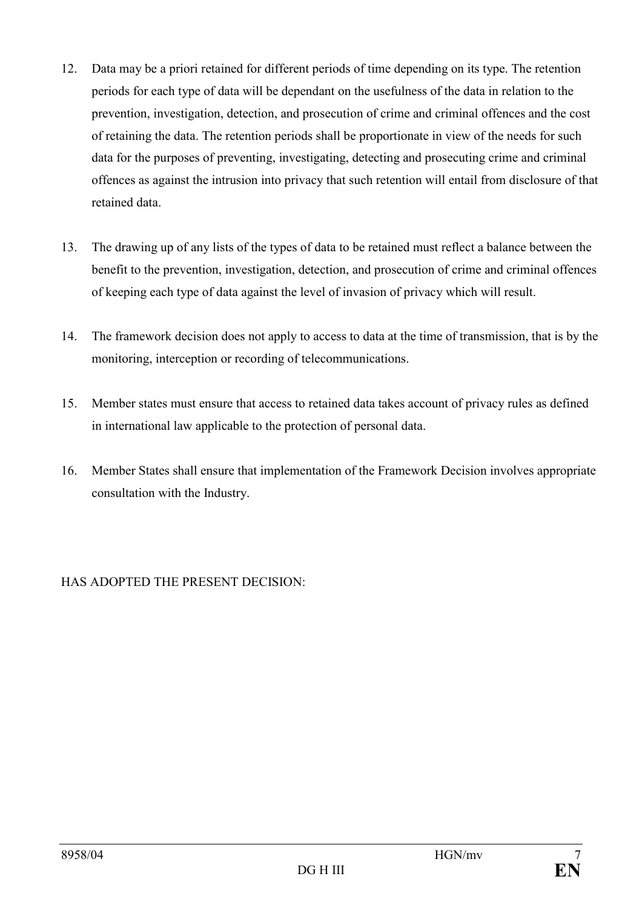- 12. Data may be a priori retained for different periods of time depending on its type. The retention periods for each type of data will be dependant on the usefulness of the data in relation to the prevention, investigation, detection, and prosecution of crime and criminal offences and the cost of retaining the data. The retention periods shall be proportionate in view of the needs for such data for the purposes of preventing, investigating, detecting and prosecuting crime and criminal offences as against the intrusion into privacy that such retention will entail from disclosure of that retained data.
- 13. The drawing up of any lists of the types of data to be retained must reflect a balance between the benefit to the prevention, investigation, detection, and prosecution of crime and criminal offences of keeping each type of data against the level of invasion of privacy which will result.
- 14. The framework decision does not apply to access to data at the time of transmission, that is by the monitoring, interception or recording of telecommunications.
- 15. Member states must ensure that access to retained data takes account of privacy rules as defined in international law applicable to the protection of personal data.
- 16. Member States shall ensure that implementation of the Framework Decision involves appropriate consultation with the Industry.

HAS ADOPTED THE PRESENT DECISION: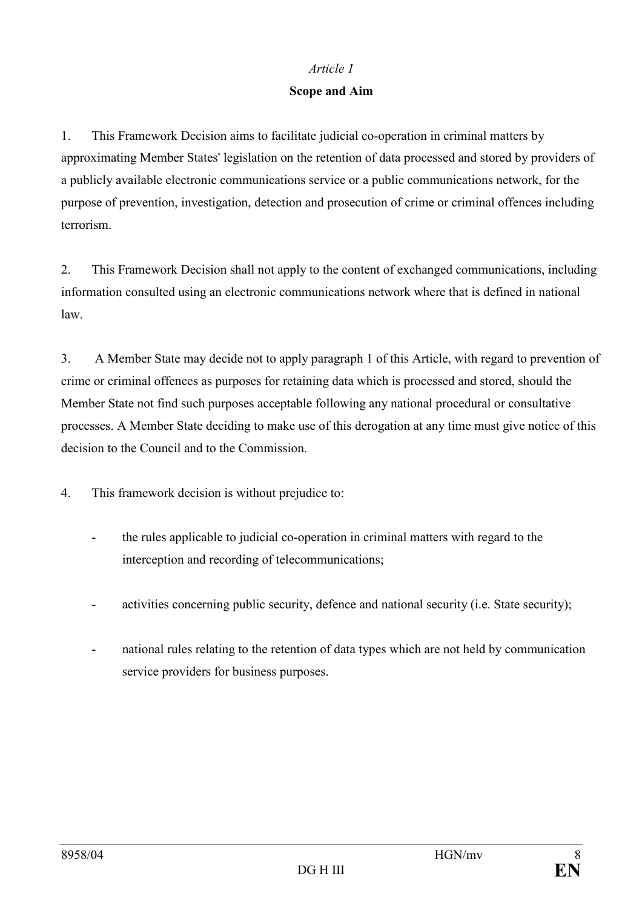## Scope and Aim

1. This Framework Decision aims to facilitate judicial co-operation in criminal matters by approximating Member States' legislation on the retention of data processed and stored by providers of a publicly available electronic communications service or a public communications network, for the purpose of prevention, investigation, detection and prosecution of crime or criminal offences including terrorism.

2. This Framework Decision shall not apply to the content of exchanged communications, including information consulted using an electronic communications network where that is defined in national law.

3. A Member State may decide not to apply paragraph 1 of this Article, with regard to prevention of crime or criminal offences as purposes for retaining data which is processed and stored, should the Member State not find such purposes acceptable following any national procedural or consultative processes. A Member State deciding to make use of this derogation at any time must give notice of this decision to the Council and to the Commission.

4. This framework decision is without prejudice to:

- the rules applicable to judicial co-operation in criminal matters with regard to the interception and recording of telecommunications;
- activities concerning public security, defence and national security (i.e. State security);
- national rules relating to the retention of data types which are not held by communication service providers for business purposes.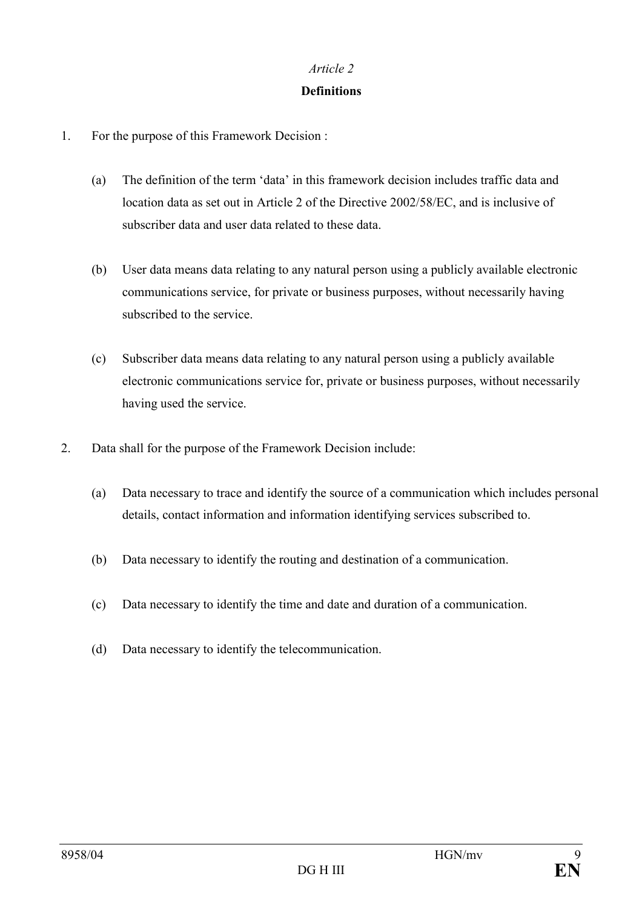### **Definitions**

- 1. For the purpose of this Framework Decision :
	- (a) The definition of the term 'data' in this framework decision includes traffic data and location data as set out in Article 2 of the Directive 2002/58/EC, and is inclusive of subscriber data and user data related to these data.
	- (b) User data means data relating to any natural person using a publicly available electronic communications service, for private or business purposes, without necessarily having subscribed to the service.
	- (c) Subscriber data means data relating to any natural person using a publicly available electronic communications service for, private or business purposes, without necessarily having used the service.
- 2. Data shall for the purpose of the Framework Decision include:
	- (a) Data necessary to trace and identify the source of a communication which includes personal details, contact information and information identifying services subscribed to.
	- (b) Data necessary to identify the routing and destination of a communication.
	- (c) Data necessary to identify the time and date and duration of a communication.
	- (d) Data necessary to identify the telecommunication.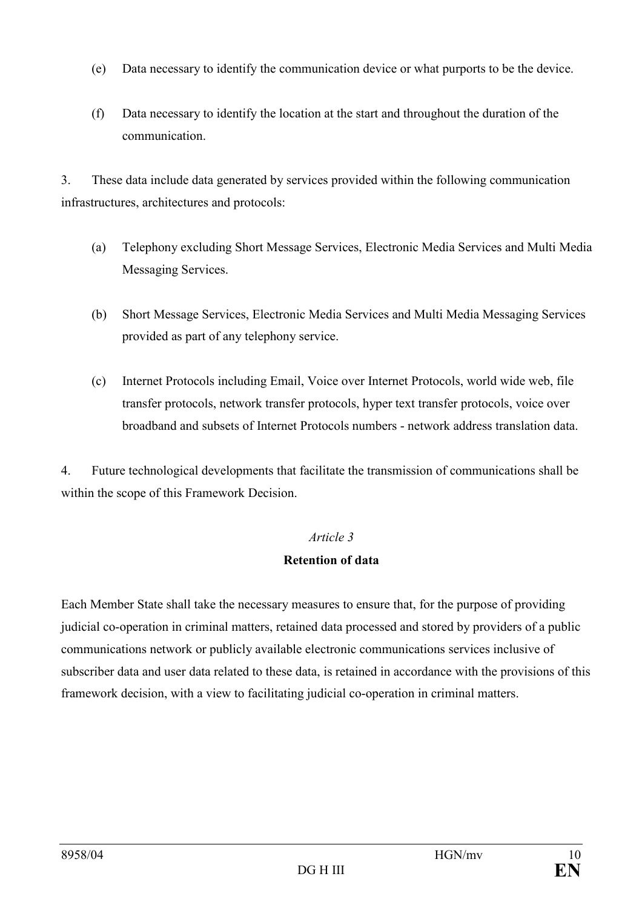- (e) Data necessary to identify the communication device or what purports to be the device.
- (f) Data necessary to identify the location at the start and throughout the duration of the communication.

3. These data include data generated by services provided within the following communication infrastructures, architectures and protocols:

- (a) Telephony excluding Short Message Services, Electronic Media Services and Multi Media Messaging Services.
- (b) Short Message Services, Electronic Media Services and Multi Media Messaging Services provided as part of any telephony service.
- (c) Internet Protocols including Email, Voice over Internet Protocols, world wide web, file transfer protocols, network transfer protocols, hyper text transfer protocols, voice over broadband and subsets of Internet Protocols numbers - network address translation data.

4. Future technological developments that facilitate the transmission of communications shall be within the scope of this Framework Decision.

## Article 3

## Retention of data

Each Member State shall take the necessary measures to ensure that, for the purpose of providing judicial co-operation in criminal matters, retained data processed and stored by providers of a public communications network or publicly available electronic communications services inclusive of subscriber data and user data related to these data, is retained in accordance with the provisions of this framework decision, with a view to facilitating judicial co-operation in criminal matters.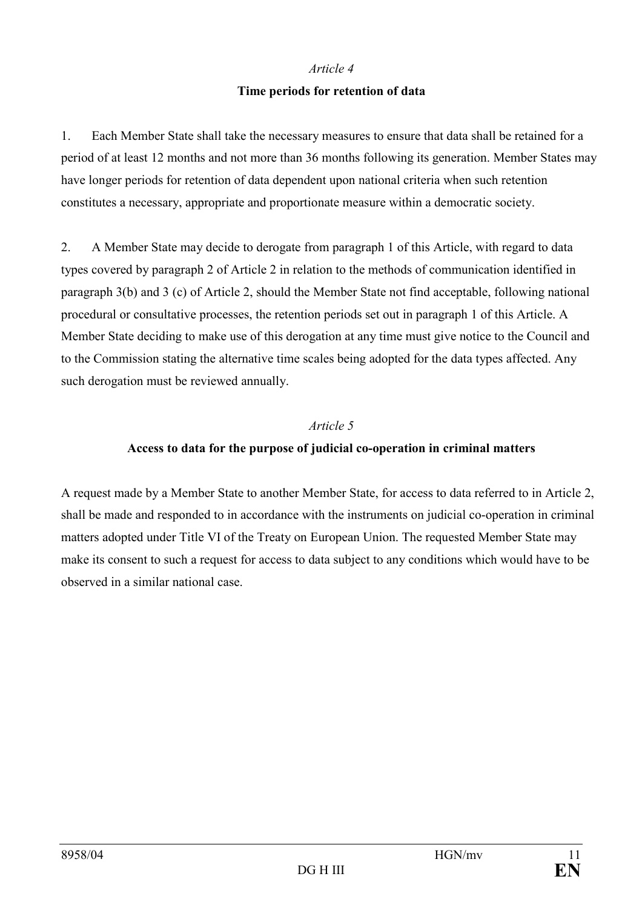### Time periods for retention of data

1. Each Member State shall take the necessary measures to ensure that data shall be retained for a period of at least 12 months and not more than 36 months following its generation. Member States may have longer periods for retention of data dependent upon national criteria when such retention constitutes a necessary, appropriate and proportionate measure within a democratic society.

2. A Member State may decide to derogate from paragraph 1 of this Article, with regard to data types covered by paragraph 2 of Article 2 in relation to the methods of communication identified in paragraph 3(b) and 3 (c) of Article 2, should the Member State not find acceptable, following national procedural or consultative processes, the retention periods set out in paragraph 1 of this Article. A Member State deciding to make use of this derogation at any time must give notice to the Council and to the Commission stating the alternative time scales being adopted for the data types affected. Any such derogation must be reviewed annually.

#### Article 5

#### Access to data for the purpose of judicial co-operation in criminal matters

A request made by a Member State to another Member State, for access to data referred to in Article 2, shall be made and responded to in accordance with the instruments on judicial co-operation in criminal matters adopted under Title VI of the Treaty on European Union. The requested Member State may make its consent to such a request for access to data subject to any conditions which would have to be observed in a similar national case.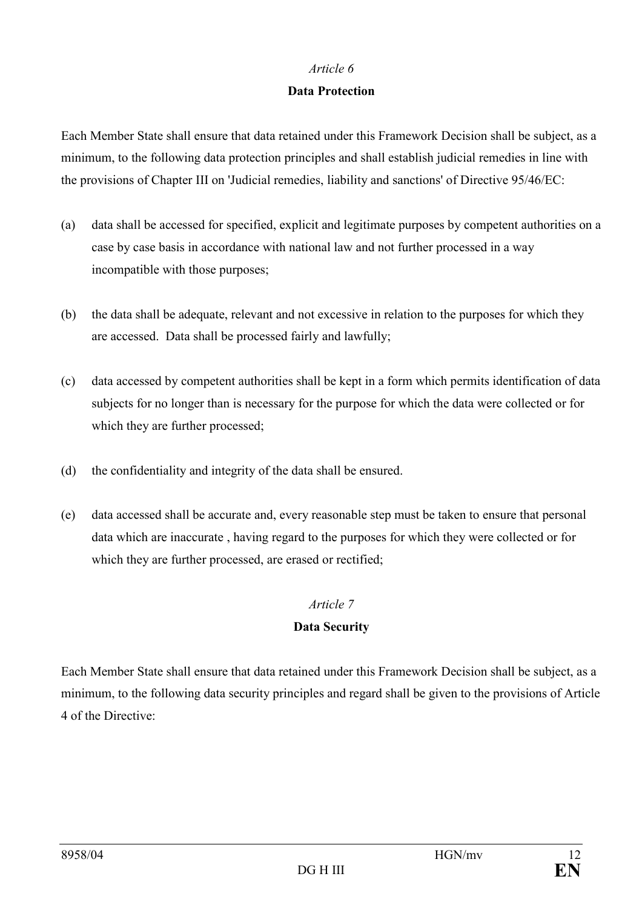## Data Protection

Each Member State shall ensure that data retained under this Framework Decision shall be subject, as a minimum, to the following data protection principles and shall establish judicial remedies in line with the provisions of Chapter III on 'Judicial remedies, liability and sanctions' of Directive 95/46/EC:

- (a) data shall be accessed for specified, explicit and legitimate purposes by competent authorities on a case by case basis in accordance with national law and not further processed in a way incompatible with those purposes;
- (b) the data shall be adequate, relevant and not excessive in relation to the purposes for which they are accessed. Data shall be processed fairly and lawfully;
- (c) data accessed by competent authorities shall be kept in a form which permits identification of data subjects for no longer than is necessary for the purpose for which the data were collected or for which they are further processed;
- (d) the confidentiality and integrity of the data shall be ensured.
- (e) data accessed shall be accurate and, every reasonable step must be taken to ensure that personal data which are inaccurate , having regard to the purposes for which they were collected or for which they are further processed, are erased or rectified;

## Article 7

## Data Security

Each Member State shall ensure that data retained under this Framework Decision shall be subject, as a minimum, to the following data security principles and regard shall be given to the provisions of Article 4 of the Directive: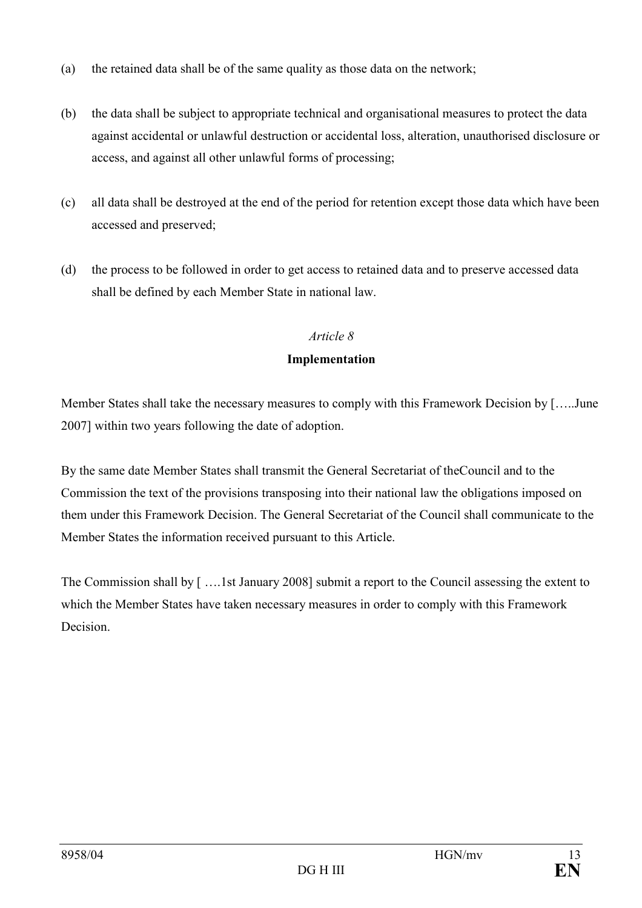- (a) the retained data shall be of the same quality as those data on the network;
- (b) the data shall be subject to appropriate technical and organisational measures to protect the data against accidental or unlawful destruction or accidental loss, alteration, unauthorised disclosure or access, and against all other unlawful forms of processing;
- (c) all data shall be destroyed at the end of the period for retention except those data which have been accessed and preserved;
- (d) the process to be followed in order to get access to retained data and to preserve accessed data shall be defined by each Member State in national law.

## Implementation

Member States shall take the necessary measures to comply with this Framework Decision by […..June 2007] within two years following the date of adoption.

By the same date Member States shall transmit the General Secretariat of theCouncil and to the Commission the text of the provisions transposing into their national law the obligations imposed on them under this Framework Decision. The General Secretariat of the Council shall communicate to the Member States the information received pursuant to this Article.

The Commission shall by [ ….1st January 2008] submit a report to the Council assessing the extent to which the Member States have taken necessary measures in order to comply with this Framework **Decision**